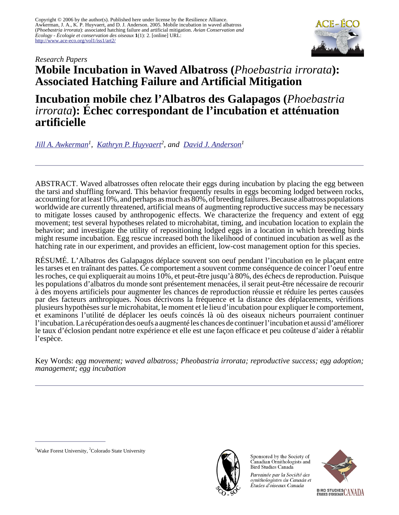

# *Research Papers* **Mobile Incubation in Waved Albatross (***Phoebastria irrorata***): Associated Hatching Failure and Artificial Mitigation**

**Incubation mobile chez l'Albatros des Galapagos (***Phoebastria irrorata***): Échec correspondant de l'incubation et atténuation artificielle**

*[Jill A. Awkerman](mailto:awkeja2@wfu.edu)<sup>1</sup> , [Kathryn P. Huyvaert](mailto:huyvaert@cnr.colostate.edu)<sup>2</sup> , and [David J. Anderson](mailto:da@wfu.edu)<sup>1</sup>*

ABSTRACT. Waved albatrosses often relocate their eggs during incubation by placing the egg between the tarsi and shuffling forward. This behavior frequently results in eggs becoming lodged between rocks, accounting for at least 10%, and perhaps as much as 80%, of breeding failures. Because albatross populations worldwide are currently threatened, artificial means of augmenting reproductive success may be necessary to mitigate losses caused by anthropogenic effects. We characterize the frequency and extent of egg movement; test several hypotheses related to microhabitat, timing, and incubation location to explain the behavior; and investigate the utility of repositioning lodged eggs in a location in which breeding birds might resume incubation. Egg rescue increased both the likelihood of continued incubation as well as the hatching rate in our experiment, and provides an efficient, low-cost management option for this species.

RÉSUMÉ. L'Albatros des Galapagos déplace souvent son oeuf pendant l'incubation en le plaçant entre les tarses et en traînant des pattes. Ce comportement a souvent comme conséquence de coincer l'oeuf entre les roches, ce qui expliquerait au moins 10%, et peut-être jusqu'à 80%, des échecs de reproduction. Puisque les populations d'albatros du monde sont présentement menacées, il serait peut-être nécessaire de recourir à des moyens artificiels pour augmenter les chances de reproduction réussie et réduire les pertes causées par des facteurs anthropiques. Nous décrivons la fréquence et la distance des déplacements, vérifions plusieurs hypothèses sur le microhabitat, le moment et le lieu d'incubation pour expliquer le comportement, et examinons l'utilité de déplacer les oeufs coincés là où des oiseaux nicheurs pourraient continuer l'incubation. La récupération des oeufs a augmenté les chances de continuer l'incubation et aussi d'améliorer le taux d'éclosion pendant notre expérience et elle est une façon efficace et peu coûteuse d'aider à rétablir l'espèce.

Key Words: *egg movement; waved albatross; Pheobastria irrorata; reproductive success; egg adoption; management; egg incubation*



Sponsored by the Society of Canadian Ornithologists and Bird Studies Canada

Parrainée par la Société des ornithologistes du Canada et Études d'oiseaux Canada



<sup>&</sup>lt;sup>1</sup>Wake Forest University, <sup>2</sup>Colorado State University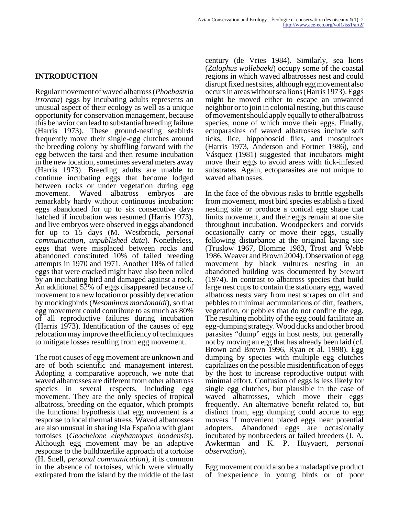## **INTRODUCTION**

Regular movement of waved albatross (*Phoebastria irrorata*) eggs by incubating adults represents an unusual aspect of their ecology as well as a unique opportunity for conservation management, because this behavior can lead to substantial breeding failure (Harris 1973). These ground-nesting seabirds frequently move their single-egg clutches around the breeding colony by shuffling forward with the egg between the tarsi and then resume incubation in the new location, sometimes several meters away (Harris 1973). Breeding adults are unable to continue incubating eggs that become lodged between rocks or under vegetation during egg movement. Waved albatross embryos are remarkably hardy without continuous incubation: eggs abandoned for up to six consecutive days hatched if incubation was resumed (Harris 1973), and live embryos were observed in eggs abandoned for up to 15 days (M. Westbrock, *personal communication, unpublished data*). Nonetheless, eggs that were misplaced between rocks and abandoned constituted 10% of failed breeding attempts in 1970 and 1971. Another 18% of failed eggs that were cracked might have also been rolled by an incubating bird and damaged against a rock. An additional 52% of eggs disappeared because of movement to a new location or possibly depredation by mockingbirds (*Nesomimus macdonaldi*), so that egg movement could contribute to as much as 80% of all reproductive failures during incubation (Harris 1973). Identification of the causes of egg relocation may improve the efficiency of techniques to mitigate losses resulting from egg movement.

The root causes of egg movement are unknown and are of both scientific and management interest. Adopting a comparative approach, we note that waved albatrosses are different from other albatross species in several respects, including egg movement. They are the only species of tropical albatross, breeding on the equator, which prompts the functional hypothesis that egg movement is a response to local thermal stress. Waved albatrosses are also unusual in sharing Isla Española with giant tortoises (*Geochelone elephantopus hoodensis*). Although egg movement may be an adaptive response to the bulldozerlike approach of a tortoise (H. Snell, *personal communication*), it is common in the absence of tortoises, which were virtually extirpated from the island by the middle of the last

century (de Vries 1984). Similarly, sea lions (*Zalophus wollebaeki*) occupy some of the coastal regions in which waved albatrosses nest and could disrupt fixed nest sites, although egg movement also occurs in areas without sea lions (Harris 1973). Eggs might be moved either to escape an unwanted neighbor or to join in colonial nesting, but this cause of movement should apply equally to other albatross species, none of which move their eggs. Finally, ectoparasites of waved albatrosses include soft ticks, lice, hippoboscid flies, and mosquitoes (Harris 1973, Anderson and Fortner 1986), and Vásquez (1981) suggested that incubators might move their eggs to avoid areas with tick-infested substrates. Again, ectoparasites are not unique to waved albatrosses.

In the face of the obvious risks to brittle eggshells from movement, most bird species establish a fixed nesting site or produce a conical egg shape that limits movement, and their eggs remain at one site throughout incubation. Woodpeckers and corvids occasionally carry or move their eggs, usually following disturbance at the original laying site (Truslow 1967, Blomme 1983, Trost and Webb 1986, Weaver and Brown 2004). Observation of egg movement by black vultures nesting in an abandoned building was documented by Stewart (1974). In contrast to albatross species that build large nest cups to contain the stationary egg, waved albatross nests vary from nest scrapes on dirt and pebbles to minimal accumulations of dirt, feathers, vegetation, or pebbles that do not confine the egg. The resulting mobility of the egg could facilitate an egg-dumping strategy. Wood ducks and other brood parasites "dump" eggs in host nests, but generally not by moving an egg that has already been laid (cf. Brown and Brown 1996, Ryan et al. 1998). Egg dumping by species with multiple egg clutches capitalizes on the possible misidentification of eggs by the host to increase reproductive output with minimal effort. Confusion of eggs is less likely for single egg clutches, but plausible in the case of waved albatrosses, which move their eggs frequently. An alternative benefit related to, but distinct from, egg dumping could accrue to egg movers if movement placed eggs near potential adopters. Abandoned eggs are occasionally incubated by nonbreeders or failed breeders (J. A. Awkerman and K. P. Huyvaert, *personal observation*).

Egg movement could also be a maladaptive product of inexperience in young birds or of poor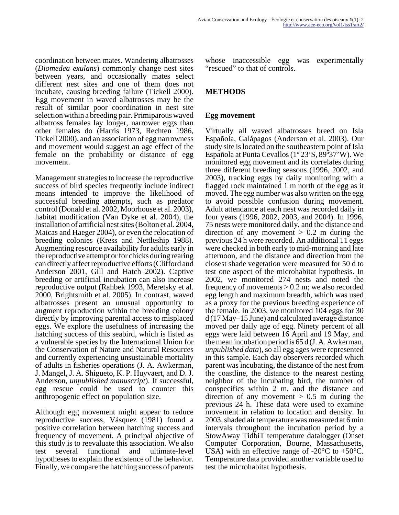coordination between mates. Wandering albatrosses (*Diomedea exulans*) commonly change nest sites between years, and occasionally mates select different nest sites and one of them does not incubate, causing breeding failure (Tickell 2000). Egg movement in waved albatrosses may be the result of similar poor coordination in nest site selection within a breeding pair. Primiparous waved albatross females lay longer, narrower eggs than other females do (Harris 1973, Rechten 1986, Tickell 2000), and an association of egg narrowness and movement would suggest an age effect of the female on the probability or distance of egg movement.

Management strategies to increase the reproductive success of bird species frequently include indirect means intended to improve the likelihood of successful breeding attempts, such as predator control (Donald et al. 2002, Moorhouse et al. 2003), habitat modification (Van Dyke et al. 2004), the installation of artificial nest sites (Bolton et al. 2004, Maicas and Haeger 2004), or even the relocation of breeding colonies (Kress and Nettleship 1988). Augmenting resource availability for adults early in the reproductive attempt or for chicks during rearing can directly affect reproductive efforts (Clifford and Anderson 2001, Gill and Hatch 2002). Captive breeding or artificial incubation can also increase reproductive output (Rahbek 1993, Meretsky et al. 2000, Brightsmith et al. 2005). In contrast, waved albatrosses present an unusual opportunity to augment reproduction within the breeding colony directly by improving parental access to misplaced eggs. We explore the usefulness of increasing the hatching success of this seabird, which is listed as a vulnerable species by the International Union for the Conservation of Nature and Natural Resources and currently experiencing unsustainable mortality of adults in fisheries operations (J. A. Awkerman, J. Mangel, J. A. Shigueto, K. P. Huyvaert, and D. J. Anderson, *unpublished manuscript*). If successful, egg rescue could be used to counter this anthropogenic effect on population size.

Although egg movement might appear to reduce reproductive success, Vásquez (1981) found a positive correlation between hatching success and frequency of movement. A principal objective of this study is to reevaluate this association. We also test several functional and ultimate-level hypotheses to explain the existence of the behavior. Finally, we compare the hatching success of parents

whose inaccessible egg was experimentally "rescued" to that of controls.

## **METHODS**

## **Egg movement**

Virtually all waved albatrosses breed on Isla Española, Galápagos (Anderson et al. 2003). Our study site is located on the southeastern point of Isla Española at Punta Cevallos (1º 23'S, 89º37'W). We monitored egg movement and its correlates during three different breeding seasons (1996, 2002, and 2003), tracking eggs by daily monitoring with a flagged rock maintained 1 m north of the egg as it moved. The egg number was also written on the egg to avoid possible confusion during movement. Adult attendance at each nest was recorded daily in four years (1996, 2002, 2003, and 2004). In 1996, 75 nests were monitored daily, and the distance and direction of any movement  $> 0.2$  m during the previous 24 h were recorded. An additional 11 eggs were checked in both early to mid-morning and late afternoon, and the distance and direction from the closest shade vegetation were measured for 50 d to test one aspect of the microhabitat hypothesis. In 2002, we monitored 274 nests and noted the frequency of movements  $> 0.2$  m; we also recorded egg length and maximum breadth, which was used as a proxy for the previous breeding experience of the female. In 2003, we monitored 104 eggs for 30 d (17 May–15 June) and calculated average distance moved per daily age of egg. Ninety percent of all eggs were laid between 16 April and 19 May, and the mean incubation period is 65 d (J. A. Awkerman, *unpublished data*), so all egg ages were represented in this sample. Each day observers recorded which parent was incubating, the distance of the nest from the coastline, the distance to the nearest nesting neighbor of the incubating bird, the number of conspecifics within 2 m, and the distance and direction of any movement  $> 0.5$  m during the previous 24 h. These data were used to examine movement in relation to location and density. In 2003, shaded air temperature was measured at 6 min intervals throughout the incubation period by a StowAway TidbiT temperature datalogger (Onset Computer Corporation, Bourne, Massachusetts, USA) with an effective range of  $-20^{\circ}$ C to  $+50^{\circ}$ C. Temperature data provided another variable used to test the microhabitat hypothesis.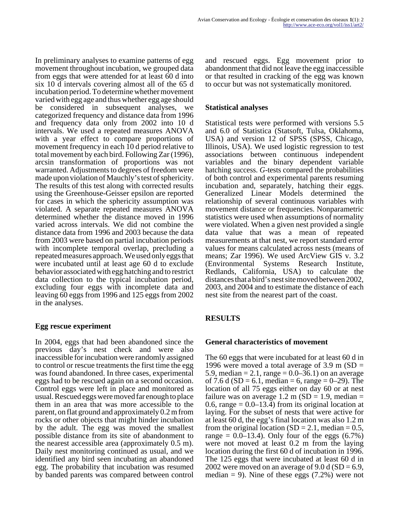In preliminary analyses to examine patterns of egg movement throughout incubation, we grouped data from eggs that were attended for at least 60 d into six 10 d intervals covering almost all of the 65 d incubation period. To determine whether movement varied with egg age and thus whether egg age should be considered in subsequent analyses, we categorized frequency and distance data from 1996 and frequency data only from 2002 into 10 d intervals. We used a repeated measures ANOVA with a year effect to compare proportions of movement frequency in each 10 d period relative to total movement by each bird. Following Zar (1996), arcsin transformation of proportions was not warranted. Adjustments to degrees of freedom were made upon violation of Mauchly's test of sphericity. The results of this test along with corrected results using the Greenhouse-Geisser epsilon are reported for cases in which the sphericity assumption was violated. A separate repeated measures ANOVA determined whether the distance moved in 1996 varied across intervals. We did not combine the distance data from 1996 and 2003 because the data from 2003 were based on partial incubation periods with incomplete temporal overlap, precluding a repeated measures approach. We used only eggs that were incubated until at least age 60 d to exclude behavior associated with egg hatching and to restrict data collection to the typical incubation period, excluding four eggs with incomplete data and leaving 60 eggs from 1996 and 125 eggs from 2002 in the analyses.

### **Egg rescue experiment**

In 2004, eggs that had been abandoned since the previous day's nest check and were also inaccessible for incubation were randomly assigned to control or rescue treatments the first time the egg was found abandoned. In three cases, experimental eggs had to be rescued again on a second occasion. Control eggs were left in place and monitored as usual. Rescued eggs were moved far enough to place them in an area that was more accessible to the parent, on flat ground and approximately 0.2 m from rocks or other objects that might hinder incubation by the adult. The egg was moved the smallest possible distance from its site of abandonment to the nearest accessible area (approximately 0.5 m). Daily nest monitoring continued as usual, and we identified any bird seen incubating an abandoned egg. The probability that incubation was resumed by banded parents was compared between control

and rescued eggs. Egg movement prior to abandonment that did not leave the egg inaccessible or that resulted in cracking of the egg was known to occur but was not systematically monitored.

## **Statistical analyses**

Statistical tests were performed with versions 5.5 and 6.0 of Statistica (Statsoft, Tulsa, Oklahoma, USA) and version 12 of SPSS (SPSS, Chicago, Illinois, USA). We used logistic regression to test associations between continuous independent variables and the binary dependent variable hatching success. *G*-tests compared the probabilities of both control and experimental parents resuming incubation and, separately, hatching their eggs. Generalized Linear Models determined the relationship of several continuous variables with movement distance or frequencies. Nonparametric statistics were used when assumptions of normality were violated. When a given nest provided a single data value that was a mean of repeated measurements at that nest, we report standard error values for means calculated across nests (means of means; Zar 1996). We used ArcView GIS v. 3.2 (Environmental Systems Research Institute, Redlands, California, USA) to calculate the distances that a bird's nest site moved between 2002, 2003, and 2004 and to estimate the distance of each nest site from the nearest part of the coast.

## **RESULTS**

### **General characteristics of movement**

The 60 eggs that were incubated for at least 60 d in 1996 were moved a total average of  $3.9 \text{ m}$  (SD = 5.9, median = 2.1, range =  $0.0-36.1$ ) on an average of 7.6 d (SD = 6.1, median = 6, range = 0–29). The location of all 75 eggs either on day 60 or at nest failure was on average 1.2 m ( $SD = 1.9$ , median = 0.6, range  $= 0.0 - 13.4$ ) from its original location at laying. For the subset of nests that were active for at least 60 d, the egg's final location was also 1.2 m from the original location  $(SD = 2.1, \text{median} = 0.5,$ range  $= 0.0 - 13.4$ ). Only four of the eggs  $(6.7%)$ were not moved at least 0.2 m from the laying location during the first 60 d of incubation in 1996. The 125 eggs that were incubated at least 60 d in 2002 were moved on an average of 9.0 d (SD =  $6.9$ , median  $= 9$ ). Nine of these eggs (7.2%) were not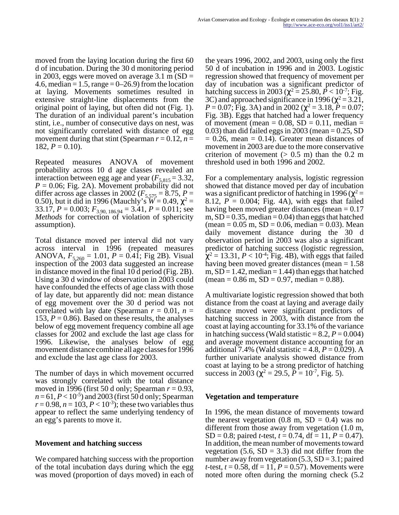moved from the laying location during the first 60 d of incubation. During the 30 d monitoring period in 2003, eggs were moved on average 3.1 m  $(SD =$ 4.6, median  $= 1.5$ , range  $= 0-26.9$  from the location at laying. Movements sometimes resulted in extensive straight-line displacements from the original point of laying, but often did not (Fig. 1). The duration of an individual parent's incubation stint, i.e., number of consecutive days on nest, was not significantly correlated with distance of egg movement during that stint (Spearman  $r = 0.12$ ,  $n =$ 182,  $P = 0.10$ ).

Repeated measures ANOVA of movement probability across 10 d age classes revealed an interaction between egg age and year  $(F_{5,815} = 3.32)$ ,  $P = 0.06$ ; Fig. 2A). Movement probability did not differ across age classes in 2002 ( $F_{5,575} = 8.75$ ,  $P =$ 0.50), but it did in 1996 (Mauchly's  $W = 0.49$ ,  $\chi^2 =$ 33.17, *P* = 0.003; *F*3.90, 186.94 = 3.41, *P* = 0.011; see *Methods* for correction of violation of sphericity assumption).

Total distance moved per interval did not vary across interval in 1996 (repeated measures ANOVA,  $F_{5,260} = 1.01$ ,  $P = 0.4\overline{1}$ ; Fig 2B). Visual inspection of the 2003 data suggested an increase in distance moved in the final 10 d period (Fig. 2B). Using a 30 d window of observation in 2003 could have confounded the effects of age class with those of lay date, but apparently did not: mean distance of egg movement over the 30 d period was not correlated with lay date (Spearman  $r = 0.01$ ,  $n =$ 153,  $P = 0.86$ ). Based on these results, the analyses below of egg movement frequency combine all age classes for 2002 and exclude the last age class for 1996. Likewise, the analyses below of egg movement distance combine all age classes for 1996 and exclude the last age class for 2003.

The number of days in which movement occurred was strongly correlated with the total distance moved in 1996 (first 50 d only; Spearman *r* = 0.93,  $n = 61, P < 10^{-5}$ ) and 2003 (first 50 d only; Spearman  $r = 0.98$ ,  $n = 103$ ,  $P < 10^{-3}$ ; these two variables thus appear to reflect the same underlying tendency of an egg's parents to move it.

### **Movement and hatching success**

We compared hatching success with the proportion of the total incubation days during which the egg was moved (proportion of days moved) in each of the years 1996, 2002, and 2003, using only the first 50 d of incubation in 1996 and in 2003. Logistic regression showed that frequency of movement per day of incubation was a significant predictor of hatching success in 2003 ( $\chi^2$  = 25.80,  $\dot{P}$  < 10<sup>-7</sup>; Fig. 3C) and approached significance in 1996 ( $\chi^2$  = 3.21,  $P = 0.07$ ; Fig. 3A) and in 2002 ( $\chi^2 = 3.18$ ,  $P = 0.07$ ; Fig. 3B). Eggs that hatched had a lower frequency of movement (mean =  $0.08$ , SD =  $0.11$ , median =  $(0.03)$  than did failed eggs in 2003 (mean =  $(0.25, SD)$  $= 0.26$ , mean  $= 0.14$ ). Greater mean distances of movement in 2003 are due to the more conservative criterion of movement  $(> 0.5 \text{ m})$  than the 0.2 m threshold used in both 1996 and 2002.

For a complementary analysis, logistic regression showed that distance moved per day of incubation was a significant predictor of hatching in 1996 ( $\chi^2$  = 8.12,  $P = 0.004$ ; Fig. 4A), with eggs that failed having been moved greater distances (mean  $= 0.17$ m,  $SD = 0.35$ , median = 0.04) than eggs that hatched  $(\text{mean} = 0.05 \text{ m}, SD = 0.06, \text{median} = 0.03)$ . Mean daily movement distance during the 30 d observation period in 2003 was also a significant predictor of hatching success (logistic regression,  $\chi^2$  = 13.31, *P* < 10<sup>-4</sup>; Fig. 4B), with eggs that failed having been moved greater distances (mean = 1.58 m,  $SD = 1.42$ , median = 1.44) than eggs that hatched  $(\text{mean} = 0.86 \text{ m}, SD = 0.97, \text{median} = 0.88).$ 

A multivariate logistic regression showed that both distance from the coast at laying and average daily distance moved were significant predictors of hatching success in 2003, with distance from the coast at laying accounting for 33.1% of the variance in hatching success (Wald statistic  $= 8.2, P = 0.004$ ) and average movement distance accounting for an additional 7.4% (Wald statistic  $= 4.8, P = 0.029$ ). A further univariate analysis showed distance from coast at laying to be a strong predictor of hatching success in 2003 ( $\chi^2$  = 29.5,  $\bar{P}$  = 10<sup>-7</sup>, Fig. 5).

### **Vegetation and temperature**

In 1996, the mean distance of movements toward the nearest vegetation  $(0.8 \text{ m}, \text{SD} = 0.4)$  was no different from those away from vegetation (1.0 m, SD = 0.8; paired *t*-test,  $t = 0.74$ , df = 11,  $P = 0.47$ ). In addition, the mean number of movements toward vegetation  $(5.6, SD = 3.3)$  did not differ from the number away from vegetation  $(5.3, SD = 3.1; paired)$ *t*-test,  $t = 0.58$ , df = 11,  $P = 0.57$ ). Movements were noted more often during the morning check (5.2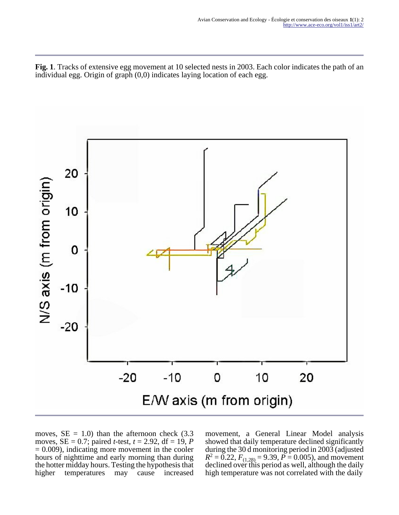**Fig. 1**. Tracks of extensive egg movement at 10 selected nests in 2003. Each color indicates the path of an individual egg. Origin of graph (0,0) indicates laying location of each egg.



moves,  $SE = 1.0$ ) than the afternoon check (3.3) moves,  $SE = 0.7$ ; paired *t*-test,  $t = 2.92$ , df = 19, *P*  $= 0.009$ ), indicating more movement in the cooler hours of nighttime and early morning than during the hotter midday hours. Testing the hypothesis that higher temperatures may cause increased movement, a General Linear Model analysis showed that daily temperature declined significantly during the 30 d monitoring period in 2003 (adjusted  $R^2 = 0.22$ ,  $F_{(1,28)} = 9.39$ ,  $P = 0.005$ ), and movement declined over this period as well, although the daily high temperature was not correlated with the daily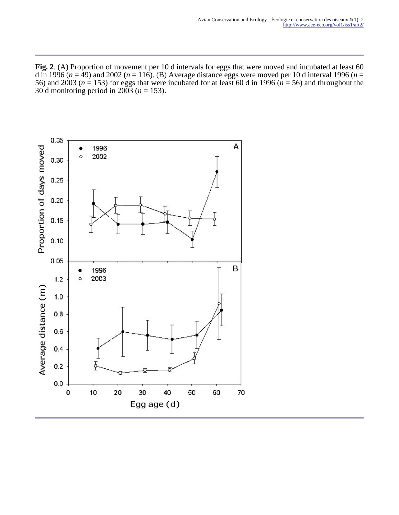**Fig. 2**. (A) Proportion of movement per 10 d intervals for eggs that were moved and incubated at least 60 d in 1996 ( $n = 49$ ) and 2002 ( $n = 116$ ). (B) Average distance eggs were moved per 10 d interval 1996 ( $n =$ 56) and 2003 ( $n = 153$ ) for eggs that were incubated for at least 60 d in 1996 ( $n = 56$ ) and throughout the 30 d monitoring period in 2003 (*n* = 153).

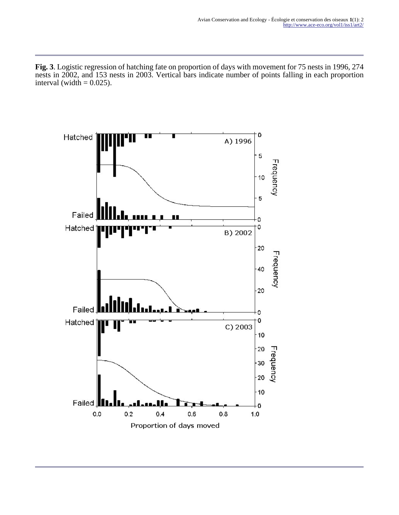**Fig. 3**. Logistic regression of hatching fate on proportion of days with movement for 75 nests in 1996, 274 nests in 2002, and 153 nests in 2003. Vertical bars indicate number of points falling in each proportion interval (width  $= 0.025$ ).

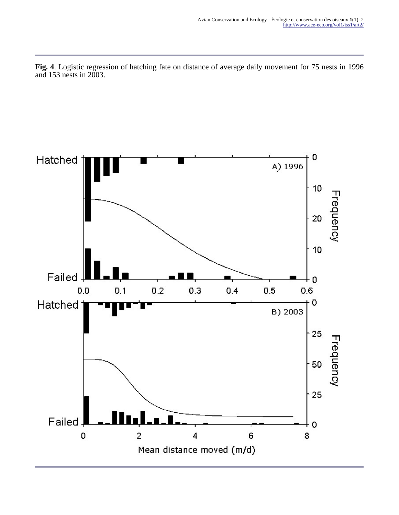**Fig. 4**. Logistic regression of hatching fate on distance of average daily movement for 75 nests in 1996 and 153 nests in 2003.

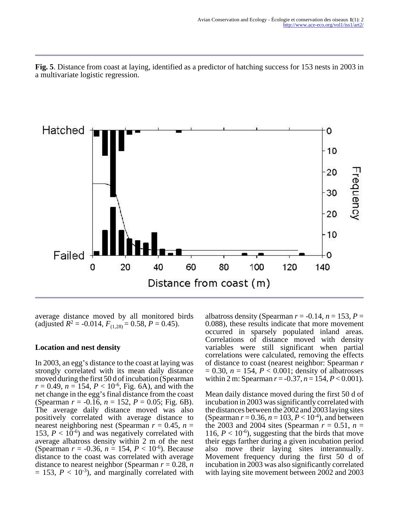**Fig. 5**. Distance from coast at laying, identified as a predictor of hatching success for 153 nests in 2003 in a multivariate logistic regression.



average distance moved by all monitored birds (adjusted  $R^2 = -0.014$ ,  $F_{(1,28)} = 0.58$ ,  $P = 0.45$ ).

#### **Location and nest density**

In 2003, an egg's distance to the coast at laying was strongly correlated with its mean daily distance moved during the first 50 d of incubation (Spearman  $r = 0.49$ ,  $n = 154$ ,  $P < 10^{-6}$ , Fig. 6A), and with the net change in the egg's final distance from the coast (Spearman *r* = -0.16, *n* = 152, *P* = 0.05; Fig. 6B). The average daily distance moved was also positively correlated with average distance to nearest neighboring nest (Spearman  $r = 0.45$ ,  $n =$ 153,  $P < 10^{-6}$ ) and was negatively correlated with average albatross density within 2 m of the nest (Spearman  $r = -0.36$ ,  $n = 154$ ,  $P < 10^{-6}$ ). Because distance to the coast was correlated with average distance to nearest neighbor (Spearman  $r = 0.28$ , *n*  $= 153$ ,  $P < 10^{-3}$ ), and marginally correlated with

albatross density (Spearman  $r = -0.14$ ,  $n = 153$ ,  $P =$ 0.088), these results indicate that more movement occurred in sparsely populated inland areas. Correlations of distance moved with density variables were still significant when partial correlations were calculated, removing the effects of distance to coast (nearest neighbor: Spearman *r*  $= 0.30, n = 154, P < 0.001$ ; density of albatrosses within 2 m: Spearman  $r = -0.37$ ,  $n = 154$ ,  $P < 0.001$ ).

Mean daily distance moved during the first 50 d of incubation in 2003 was significantly correlated with the distances between the 2002 and 2003 laying sites (Spearman  $r = 0.36$ ,  $n = 103$ ,  $P < 10^{-4}$ ), and between the 2003 and 2004 sites (Spearman  $r = 0.51$ ,  $n =$ 116,  $P < 10^{-6}$ ), suggesting that the birds that move their eggs farther during a given incubation period also move their laying sites interannually. Movement frequency during the first 50 d of incubation in 2003 was also significantly correlated with laying site movement between 2002 and 2003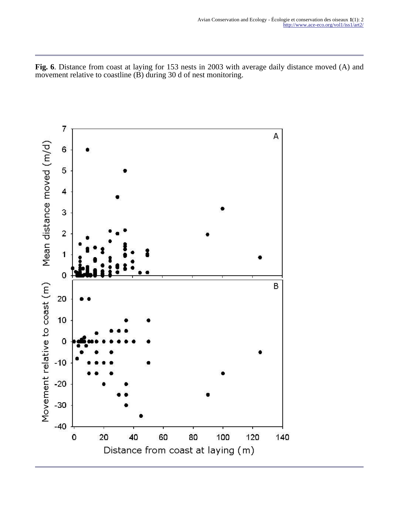**Fig. 6**. Distance from coast at laying for 153 nests in 2003 with average daily distance moved (A) and movement relative to coastline (B) during 30 d of nest monitoring.

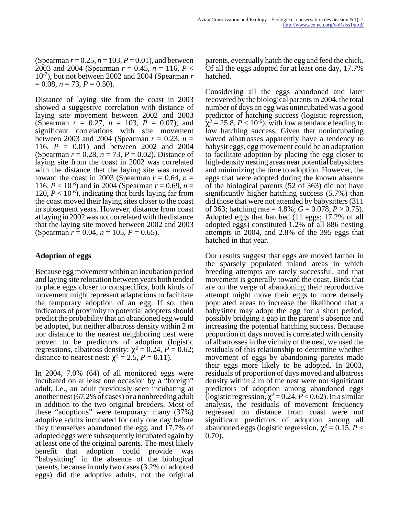(Spearman  $r = 0.25$ ,  $n = 103$ ,  $P = 0.01$ ), and between 2003 and 2004 (Spearman *r* = 0.45, *n* = 116, *P* < 10-7), but not between 2002 and 2004 (Spearman *r*  $= 0.08$ ,  $n = 73$ ,  $P = 0.50$ ).

Distance of laying site from the coast in 2003 showed a suggestive correlation with distance of laying site movement between 2002 and 2003 (Spearman *r* = 0.27, *n* = 103, *P* = 0.07), and significant correlations with site movement between 2003 and 2004 (Spearman  $r = 0.23$ ,  $n =$ 116, *P* = 0.01) and between 2002 and 2004 (Spearman *r* = 0.28, *n* = 73, *P* = 0.02). Distance of laying site from the coast in 2002 was correlated with the distance that the laying site was moved toward the coast in 2003 (Spearman  $r = 0.64$ ,  $n =$ 116,  $P < 10^{-6}$ ) and in 2004 (Spearman  $r = 0.69$ ,  $n =$ 120,  $P < 10^{-6}$ ), indicating that birds laying far from the coast moved their laying sites closer to the coast in subsequent years. However, distance from coast at laying in 2002 was not correlated with the distance that the laying site moved between 2002 and 2003 (Spearman  $r = 0.04$ ,  $n = 105$ ,  $P = 0.65$ ).

#### **Adoption of eggs**

Because egg movement within an incubation period and laying site relocation between years both tended to place eggs closer to conspecifics, both kinds of movement might represent adaptations to facilitate the temporary adoption of an egg. If so, then indicators of proximity to potential adopters should predict the probability that an abandoned egg would be adopted, but neither albatross density within 2 m nor distance to the nearest neighboring nest were proven to be predictors of adoption (logistic regressions, albatross density:  $\chi^2 = 0.24$ ,  $P = 0.62$ ; distance to nearest nest:  $\chi^2 = 2.5$ ,  $P = 0.11$ ).

In 2004, 7.0% (64) of all monitored eggs were incubated on at least one occasion by a "foreign" adult, i.e., an adult previously seen incubating at another nest (67.2% of cases) or a nonbreeding adult in addition to the two original breeders. Most of these "adoptions" were temporary: many (37%) adoptive adults incubated for only one day before they themselves abandoned the egg, and 17.7% of adopted eggs were subsequently incubated again by at least one of the original parents. The most likely benefit that adoption could provide was "babysitting" in the absence of the biological parents, because in only two cases (3.2% of adopted eggs) did the adoptive adults, not the original

parents, eventually hatch the egg and feed the chick. Of all the eggs adopted for at least one day, 17.7% hatched.

Considering all the eggs abandoned and later recovered by the biological parents in 2004, the total number of days an egg was unincubated was a good predictor of hatching success (logistic regression,  $\chi^2$  = 25.8, *P* < 10<sup>-6</sup>), with low attendance leading to low hatching success. Given that nonincubating waved albatrosses apparently have a tendency to babysit eggs, egg movement could be an adaptation to facilitate adoption by placing the egg closer to high-density nesting areas near potential babysitters and minimizing the time to adoption. However, the eggs that were adopted during the known absence of the biological parents (52 of 363) did not have significantly higher hatching success (5.7%) than did those that were not attended by babysitters (311 of 363; hatching rate =  $4.8\%$ ; *G* = 0.078, *P* > 0.75). Adopted eggs that hatched (11 eggs; 17.2% of all adopted eggs) constituted 1.2% of all 886 nesting attempts in 2004, and 2.8% of the 395 eggs that hatched in that year.

Our results suggest that eggs are moved farther in the sparsely populated inland areas in which breeding attempts are rarely successful, and that movement is generally toward the coast. Birds that are on the verge of abandoning their reproductive attempt might move their eggs to more densely populated areas to increase the likelihood that a babysitter may adopt the egg for a short period, possibly bridging a gap in the parent's absence and increasing the potential hatching success. Because proportion of days moved is correlated with density of albatrosses in the vicinity of the nest, we used the residuals of this relationship to determine whether movement of eggs by abandoning parents made their eggs more likely to be adopted. In 2003, residuals of proportion of days moved and albatross density within 2 m of the nest were not significant predictors of adoption among abandoned eggs (logistic regression,  $\chi^2$  = 0.24, *P* < 0.62). In a similar analysis, the residuals of movement frequency regressed on distance from coast were not significant predictors of adoption among all abandoned eggs (logistic regression,  $\chi^2 = 0.15$ ,  $P <$ 0.70).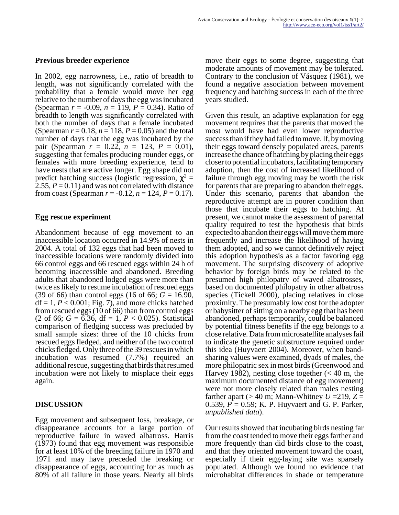#### **Previous breeder experience**

In 2002, egg narrowness, i.e., ratio of breadth to length, was not significantly correlated with the probability that a female would move her egg relative to the number of days the egg was incubated (Spearman  $r = -0.09$ ,  $n = 119$ ,  $P = 0.34$ ). Ratio of breadth to length was significantly correlated with both the number of days that a female incubated (Spearman  $r = 0.18$ ,  $n = 118$ ,  $P = 0.05$ ) and the total number of days that the egg was incubated by the pair (Spearman  $r = 0.22$ ,  $n = 123$ ,  $P = 0.01$ ), suggesting that females producing rounder eggs, or females with more breeding experience, tend to have nests that are active longer. Egg shape did not predict hatching success (logistic regression,  $\chi^2$  = 2.55,  $P = 0.11$ ) and was not correlated with distance from coast (Spearman  $r = -0.12$ ,  $n = 124$ ,  $P = 0.17$ ).

#### **Egg rescue experiment**

Abandonment because of egg movement to an inaccessible location occurred in 14.9% of nests in 2004. A total of 132 eggs that had been moved to inaccessible locations were randomly divided into 66 control eggs and 66 rescued eggs within 24 h of becoming inaccessible and abandoned. Breeding adults that abandoned lodged eggs were more than twice as likely to resume incubation of rescued eggs (39 of 66) than control eggs (16 of 66; *G* = 16.90,  $df = 1, P < 0.001$ ; Fig. 7), and more chicks hatched from rescued eggs (10 of 66) than from control eggs (2 of 66;  $G = 6.36$ , df = 1,  $P < 0.025$ ). Statistical comparison of fledging success was precluded by small sample sizes: three of the 10 chicks from rescued eggs fledged, and neither of the two control chicks fledged. Only three of the 39 rescues in which incubation was resumed (7.7%) required an additional rescue, suggesting that birds that resumed incubation were not likely to misplace their eggs again.

#### **DISCUSSION**

Egg movement and subsequent loss, breakage, or disappearance accounts for a large portion of reproductive failure in waved albatross. Harris (1973) found that egg movement was responsible for at least 10% of the breeding failure in 1970 and 1971 and may have preceded the breaking or disappearance of eggs, accounting for as much as 80% of all failure in those years. Nearly all birds

move their eggs to some degree, suggesting that moderate amounts of movement may be tolerated. Contrary to the conclusion of Vásquez (1981), we found a negative association between movement frequency and hatching success in each of the three years studied.

Given this result, an adaptive explanation for egg movement requires that the parents that moved the most would have had even lower reproductive success than if they had failed to move. If, by moving their eggs toward densely populated areas, parents increase the chance of hatching by placing their eggs closer to potential incubators, facilitating temporary adoption, then the cost of increased likelihood of failure through egg moving may be worth the risk for parents that are preparing to abandon their eggs. Under this scenario, parents that abandon the reproductive attempt are in poorer condition than those that incubate their eggs to hatching. At present, we cannot make the assessment of parental quality required to test the hypothesis that birds expected to abandon their eggs will move them more frequently and increase the likelihood of having them adopted, and so we cannot definitively reject this adoption hypothesis as a factor favoring egg movement. The surprising discovery of adoptive behavior by foreign birds may be related to the presumed high philopatry of waved albatrosses, based on documented philopatry in other albatross species (Tickell 2000), placing relatives in close proximity. The presumably low cost for the adopter or babysitter of sitting on a nearby egg that has been abandoned, perhaps temporarily, could be balanced by potential fitness benefits if the egg belongs to a close relative. Data from microsatellite analyses fail to indicate the genetic substructure required under this idea (Huyvaert 2004). Moreover, when bandsharing values were examined, dyads of males, the more philopatric sex in most birds (Greenwood and Harvey 1982), nesting close together  $(< 40 \text{ m}$ , the maximum documented distance of egg movement) were not more closely related than males nesting farther apart ( $> 40$  m; Mann-Whitney  $U = 219$ ,  $Z =$ 0.539, *P* = 0.59; K. P. Huyvaert and G. P. Parker, *unpublished data*).

Our results showed that incubating birds nesting far from the coast tended to move their eggs farther and more frequently than did birds close to the coast, and that they oriented movement toward the coast, especially if their egg-laying site was sparsely populated. Although we found no evidence that microhabitat differences in shade or temperature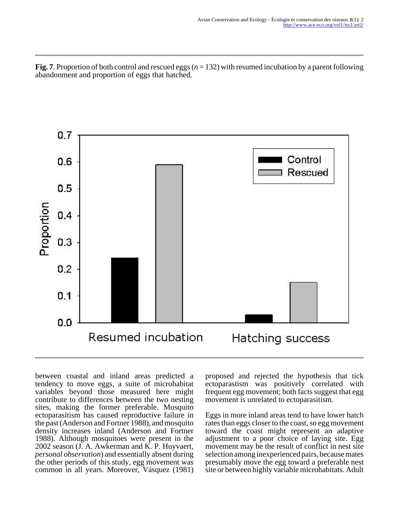**Fig. 7**. Proportion of both control and rescued eggs (*n* = 132) with resumed incubation by a parent following abandonment and proportion of eggs that hatched.



between coastal and inland areas predicted a tendency to move eggs, a suite of microhabitat variables beyond those measured here might contribute to differences between the two nesting sites, making the former preferable. Mosquito ectoparasitism has caused reproductive failure in the past (Anderson and Fortner 1988), and mosquito density increases inland (Anderson and Fortner 1988). Although mosquitoes were present in the 2002 season (J. A. Awkerman and K. P. Huyvaert, *personal observation*) and essentially absent during the other periods of this study, egg movement was common in all years. Moreover, Vásquez (1981)

proposed and rejected the hypothesis that tick ectoparastism was positively correlated with frequent egg movement; both facts suggest that egg movement is unrelated to ectoparasitism.

Eggs in more inland areas tend to have lower hatch rates than eggs closer to the coast, so egg movement toward the coast might represent an adaptive adjustment to a poor choice of laying site. Egg movement may be the result of conflict in nest site selection among inexperienced pairs, because mates presumably move the egg toward a preferable nest site or between highly variable microhabitats. Adult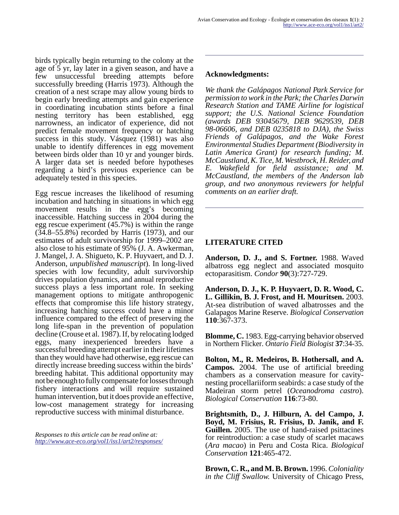birds typically begin returning to the colony at the age of 5 yr, lay later in a given season, and have a few unsuccessful breeding attempts before successfully breeding (Harris 1973). Although the creation of a nest scrape may allow young birds to begin early breeding attempts and gain experience in coordinating incubation stints before a final nesting territory has been established, egg narrowness, an indicator of experience, did not predict female movement frequency or hatching success in this study. Vásquez (1981) was also unable to identify differences in egg movement between birds older than 10 yr and younger birds. A larger data set is needed before hypotheses regarding a bird's previous experience can be adequately tested in this species.

Egg rescue increases the likelihood of resuming incubation and hatching in situations in which egg movement results in the egg's becoming inaccessible. Hatching success in 2004 during the egg rescue experiment (45.7%) is within the range (34.8–55.8%) recorded by Harris (1973), and our estimates of adult survivorship for 1999–2002 are also close to his estimate of 95% (J. A. Awkerman, J. Mangel, J. A. Shigueto, K. P. Huyvaert, and D. J. Anderson, *unpublished manuscript*). In long-lived species with low fecundity, adult survivorship drives population dynamics, and annual reproductive success plays a less important role. In seeking management options to mitigate anthropogenic effects that compromise this life history strategy, increasing hatching success could have a minor influence compared to the effect of preserving the long life-span in the prevention of population decline (Crouse et al. 1987). If, by relocating lodged eggs, many inexperienced breeders have a successful breeding attempt earlier in their lifetimes than they would have had otherwise, egg rescue can directly increase breeding success within the birds' breeding habitat. This additional opportunity may not be enough to fully compensate for losses through fishery interactions and will require sustained human intervention, but it does provide an effective, low-cost management strategy for increasing reproductive success with minimal disturbance.

*Responses to this article can be read online at: <http://www.ace-eco.org/vol1/iss1/art2/responses/>*

#### **Acknowledgments:**

*We thank the Galápagos National Park Service for permission to work in the Park; the Charles Darwin Research Station and TAME Airline for logistical support; the U.S. National Science Foundation (awards DEB 93045679, DEB 9629539, DEB 98-06606, and DEB 0235818 to DJA), the Swiss Friends of Galápagos, and the Wake Forest Environmental Studies Department (Biodiversity in Latin America Grant) for research funding; M. McCaustland, K. Tice, M. Westbrock, H. Reider, and E. Wakefield for field assistance; and M. McCaustland, the members of the Anderson lab group, and two anonymous reviewers for helpful comments on an earlier draft.*

### **LITERATURE CITED**

**Anderson, D. J., and S. Fortner.** 1988. Waved albatross egg neglect and associated mosquito ectoparasitism. *Condor* **90**(3):727-729.

**Anderson, D. J., K. P. Huyvaert, D. R. Wood, C. L. Gillikin, B. J. Frost, and H. Mouritsen.** 2003. At-sea distribution of waved albatrosses and the Galapagos Marine Reserve. *Biological Conservation* **110**:367-373.

**Blomme, C.** 1983. Egg-carrying behavior observed in Northern Flicker. *Ontario Field Biologist* **37**:34-35.

**Bolton, M., R. Medeiros, B. Hothersall, and A. Campos.** 2004. The use of artificial breeding chambers as a conservation measure for cavitynesting procellariiform seabirds: a case study of the Madeiran storm petrel (*Oceanodroma castro*). *Biological Conservation* **116**:73-80.

**Brightsmith, D., J. Hilburn, A. del Campo, J. Boyd, M. Frisius, R. Frisius, D. Janik, and F. Guillen.** 2005. The use of hand-raised psittacines for reintroduction: a case study of scarlet macaws (*Ara macao*) in Peru and Costa Rica. *Biological Conservation* **121**:465-472.

**Brown, C. R., and M. B. Brown.** 1996. *Coloniality in the Cliff Swallow.* University of Chicago Press,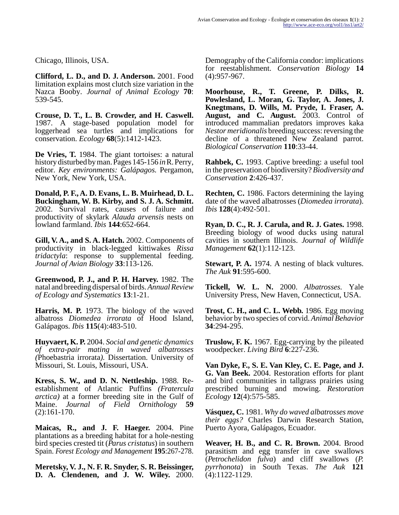Chicago, Illinois, USA.

**Clifford, L. D., and D. J. Anderson.** 2001. Food limitation explains most clutch size variation in the Nazca Booby. *Journal of Animal Ecology* **70**: 539-545.

**Crouse, D. T., L. B. Crowder, and H. Caswell.** 1987. A stage-based population model for loggerhead sea turtles and implications for conservation. *Ecology* **68**(5):1412-1423.

**De Vries, T.** 1984. The giant tortoises: a natural history disturbed by man. Pages 145-156 *in* R. Perry, editor. *Key environments: Galápagos.* Pergamon, New York, New York, USA.

**Donald, P. F., A. D. Evans, L. B. Muirhead, D. L. Buckingham, W. B. Kirby, and S. J. A. Schmitt.** 2002. Survival rates, causes of failure and productivity of skylark *Alauda arvensis* nests on lowland farmland. *Ibis* **144**:652-664.

**Gill, V. A., and S. A. Hatch.** 2002. Components of productivity in black-legged kittiwakes *Rissa tridactyla*: response to supplemental feeding. *Journal of Avian Biology* **33**:113-126.

**Greenwood, P. J., and P. H. Harvey.** 1982. The natal and breeding dispersal of birds. *Annual Review of Ecology and Systematics* **13**:1-21.

**Harris, M. P.** 1973. The biology of the waved albatross *Diomedea irrorata* of Hood Island, Galápagos. *Ibis* **115**(4):483-510.

**Huyvaert, K. P.** 2004. *Social and genetic dynamics of extra-pair mating in waved albatrosses (*Phoebastria irrorata*).* Dissertation. University of Missouri, St. Louis, Missouri, USA.

**Kress, S. W., and D. N. Nettleship.** 1988. Reestablishment of Atlantic Puffins *(Fratercula arctica)* at a former breeding site in the Gulf of Maine. *Journal of Field Ornithology* **59** (2):161-170.

**Maicas, R., and J. F. Haeger.** 2004. Pine plantations as a breeding habitat for a hole-nesting bird species crested tit (*Parus cristatus*) in southern Spain. *Forest Ecology and Management* **195**:267-278.

**Meretsky, V. J., N. F. R. Snyder, S. R. Beissinger, D. A. Clendenen, and J. W. Wiley.** 2000. Demography of the California condor: implications for reestablishment. *Conservation Biology* **14** (4):957-967.

**Moorhouse, R., T. Greene, P. Dilks, R. Powlesland, L. Moran, G. Taylor, A. Jones, J. Knegtmans, D. Wills, M. Pryde, I. Fraser, A. August, and C. August.** 2003. Control of introduced mammalian predators improves kaka *Nestor meridionalis* breeding success: reversing the decline of a threatened New Zealand parrot. *Biological Conservation* **110**:33-44.

**Rahbek, C.** 1993. Captive breeding: a useful tool in the preservation of biodiversity? *Biodiversity and Conservation* **2**:426-437.

**Rechten, C.** 1986. Factors determining the laying date of the waved albatrosses (*Diomedea irrorata*). *Ibis* **128**(4):492-501.

**Ryan, D. C., R. J. Carula, and R. J. Gates.** 1998. Breeding biology of wood ducks using natural cavities in southern Illinois. *Journal of Wildlife Management* **62**(1):112-123.

**Stewart, P. A.** 1974. A nesting of black vultures. *The Auk* **91**:595-600.

**Tickell, W. L. N.** 2000. *Albatrosses.* Yale University Press, New Haven, Connecticut, USA.

**Trost, C. H., and C. L. Webb.** 1986. Egg moving behavior by two species of corvid. *Animal Behavior* **34**:294-295.

**Truslow, F. K.** 1967. Egg-carrying by the pileated woodpecker. *Living Bird* **6**:227-236.

**Van Dyke, F., S. E. Van Kley, C. E. Page, and J. G. Van Beek.** 2004. Restoration efforts for plant and bird communities in tallgrass prairies using prescribed burning and mowing. *Restoration Ecology* **12**(4):575-585.

**Vásquez, C.** 1981. *Why do waved albatrosses move their eggs?* Charles Darwin Research Station, Puerto Ayora, Galápagos, Ecuador.

**Weaver, H. B., and C. R. Brown.** 2004. Brood parasitism and egg transfer in cave swallows (*Petrochelidon fulva*) and cliff swallows (*P. pyrrhonota*) in South Texas. *The Auk* **121** (4):1122-1129.